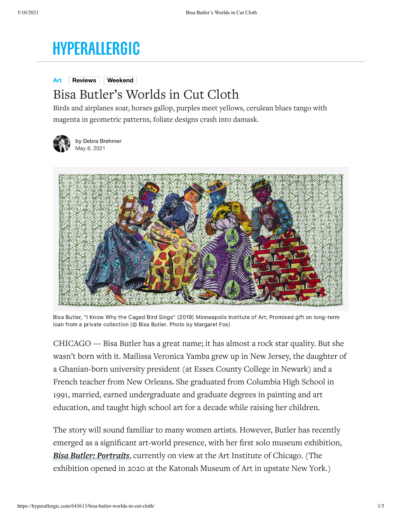## **HYPERALLERGIC**

**[Art](https://hyperallergic.com/category/art/) [Reviews](https://hyperallergic.com/tag/reviews/) [Weekend](https://hyperallergic.com/tag/weekend/)**

## Bisa Butler's Worlds in Cut Cloth

Birds and airplanes soar, horses gallop, purples meet yellows, cerulean blues tango with magenta in geometric patterns, foliate designs crash into damask.



by [Debra Brehmer](https://hyperallergic.com/author/debra-brehmer/) May 8, 2021



Bisa Butler, "I Know Why the Caged Bird Sings" (2019) Minneapolis Institute of Art; Promised gift on long-term loan from a private collection (© Bisa Butler. Photo by Margaret Fox)

CHICAGO — Bisa Butler has a great name; it has almost a rock star quality. But she wasn't born with it. Mailissa Veronica Yamba grew up in New Jersey, the daughter of a Ghanian-born university president (at Essex County College in Newark) and a French teacher from New Orleans**.** She graduated from Columbia High School in 1991, married, earned undergraduate and graduate degrees in painting and art education, and taught high school art for a decade while raising her children.

The story will sound familiar to many women artists. However, Butler has recently emerged as a significant art-world presence, with her first solo museum exhibition, *[Bisa Butler: Portraits](https://www.artic.edu/exhibitions/9324/bisa-butler-portraits)*, currently on view at the Art Institute of Chicago. (The exhibition opened in 2020 at the Katonah Museum of Art in upstate New York.)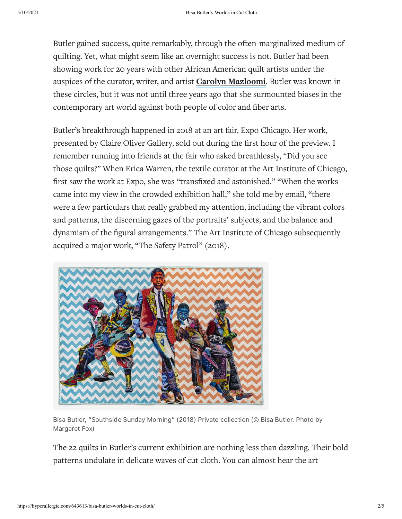Butler gained success, quite remarkably, through the often-marginalized medium of quilting. Yet, what might seem like an overnight success is not. Butler had been showing work for 20 years with other African American quilt artists under the auspices of the curator, writer, and artist **[Carolyn Mazloomi](https://carolynlmazloomi.com/)**. Butler was known in these circles, but it was not until three years ago that she surmounted biases in the contemporary art world against both people of color and fiber arts.

Butler's breakthrough happened in 2018 at an art fair, Expo Chicago. Her work, presented by Claire Oliver Gallery, sold out during the first hour of the preview. I remember running into friends at the fair who asked breathlessly, "Did you see those quilts?" When Erica Warren, the textile curator at the Art Institute of Chicago, first saw the work at Expo, she was "transfixed and astonished." "When the works came into my view in the crowded exhibition hall," she told me by email, "there were a few particulars that really grabbed my attention, including the vibrant colors and patterns, the discerning gazes of the portraits' subjects, and the balance and dynamism of the figural arrangements." The Art Institute of Chicago subsequently acquired a major work, "The Safety Patrol" (2018).



Bisa Butler, "Southside Sunday Morning" (2018) Private collection (© Bisa Butler. Photo by Margaret Fox)

The 22 quilts in Butler's current exhibition are nothing less than dazzling. Their bold patterns undulate in delicate waves of cut cloth. You can almost hear the art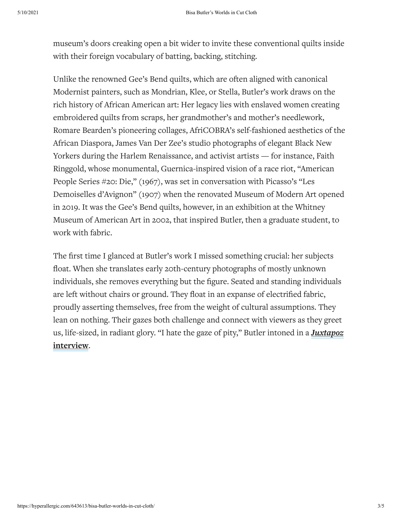museum's doors creaking open a bit wider to invite these conventional quilts inside with their foreign vocabulary of batting, backing, stitching.

Unlike the renowned Gee's Bend quilts, which are often aligned with canonical Modernist painters, such as Mondrian, Klee, or Stella, Butler's work draws on the rich history of African American art: Her legacy lies with enslaved women creating embroidered quilts from scraps, her grandmother's and mother's needlework, Romare Bearden's pioneering collages, AfriCOBRA's self-fashioned aesthetics of the African Diaspora, James Van Der Zee's studio photographs of elegant Black New Yorkers during the Harlem Renaissance, and activist artists — for instance, Faith Ringgold, whose monumental, Guernica-inspired vision of a race riot, "American People Series #20: Die," (1967), was set in conversation with Picasso's "Les Demoiselles d'Avignon" (1907) when the renovated Museum of Modern Art opened in 2019. It was the Gee's Bend quilts, however, in an exhibition at the Whitney Museum of American Art in 2002, that inspired Butler, then a graduate student, to work with fabric.

The first time I glanced at Butler's work I missed something crucial: her subjects float. When she translates early 20th-century photographs of mostly unknown individuals, she removes everything but the figure. Seated and standing individuals are left without chairs or ground. They float in an expanse of electrified fabric, proudly asserting themselves, free from the weight of cultural assumptions. They lean on nothing. Their gazes both challenge and connect with viewers as they greet [us, life-sized, in radiant glory. "I hate the gaze of pity," Butler intoned in a](https://www.juxtapoz.com/news/magazine/features/bisa-butler-stitching-history/) *Juxtapoz* **interview**.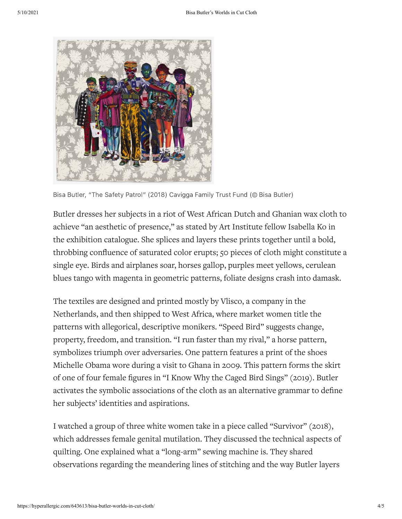

Bisa Butler, "The Safety Patrol" (2018) Cavigga Family Trust Fund (© Bisa Butler)

Butler dresses her subjects in a riot of West African Dutch and Ghanian wax cloth to achieve "an aesthetic of presence," as stated by Art Institute fellow Isabella Ko in the exhibition catalogue. She splices and layers these prints together until a bold, throbbing confluence of saturated color erupts; 50 pieces of cloth might constitute a single eye. Birds and airplanes soar, horses gallop, purples meet yellows, cerulean blues tango with magenta in geometric patterns, foliate designs crash into damask.

The textiles are designed and printed mostly by Vlisco, a company in the Netherlands, and then shipped to West Africa, where market women title the patterns with allegorical, descriptive monikers. "Speed Bird" suggests change, property, freedom, and transition. "I run faster than my rival," a horse pattern, symbolizes triumph over adversaries. One pattern features a print of the shoes Michelle Obama wore during a visit to Ghana in 2009. This pattern forms the skirt of one of four female figures in "I Know Why the Caged Bird Sings" (2019). Butler activates the symbolic associations of the cloth as an alternative grammar to define her subjects' identities and aspirations.

I watched a group of three white women take in a piece called "Survivor" (2018), which addresses female genital mutilation. They discussed the technical aspects of quilting. One explained what a "long-arm" sewing machine is. They shared observations regarding the meandering lines of stitching and the way Butler layers